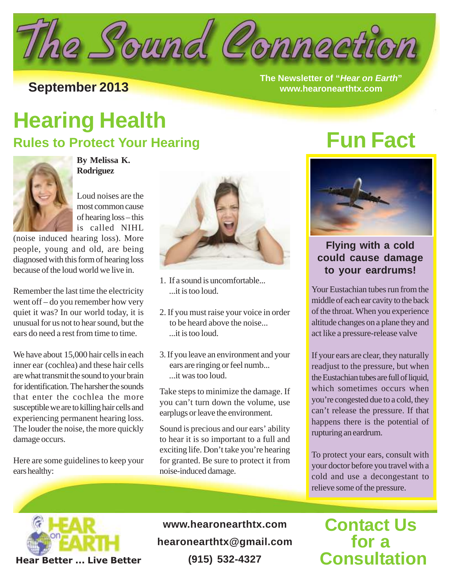

**The Newsletter of "Hear on Earth" September 2013 www.hearonearthtx.com**

## **Hearing Health**

### **Rules to Protect Your Hearing**



**By Melissa K. Rodriguez**

Loud noises are the most common cause of hearing loss – this is called NIHL

(noise induced hearing loss). More people, young and old, are being diagnosed with this form of hearing loss because of the loud world we live in.

Remember the last time the electricity went off – do you remember how very quiet it was? In our world today, it is unusual for us not to hear sound, but the ears do need a rest from time to time.

We have about 15,000 hair cells in each inner ear (cochlea) and these hair cells are what transmit the sound to your brain for identification. The harsher the sounds that enter the cochlea the more susceptible we are to killing hair cells and experiencing permanent hearing loss. The louder the noise, the more quickly damage occurs.

Here are some guidelines to keep your ears healthy:



- 1. If a sound is uncomfortable... ...it is too loud.
- 2. If you must raise your voice in order to be heard above the noise... ...it is too loud.
- 3. If you leave an environment and your ears are ringing or feel numb... ...it was too loud.

Take steps to minimize the damage. If you can't turn down the volume, use earplugs or leave the environment.

Sound is precious and our ears' ability to hear it is so important to a full and exciting life. Don't take you're hearing for granted. Be sure to protect it from noise-induced damage.

## **Fun Fact**



### **Flying with a cold could cause damage to your eardrums!**

Your Eustachian tubes run from the middle of each ear cavity to the back of the throat. When you experience altitude changes on a plane they and act like a pressure-release valve

If your ears are clear, they naturally readjust to the pressure, but when the Eustachian tubes are full of liquid, which sometimes occurs when you're congested due to a cold, they can't release the pressure. If that happens there is the potential of rupturing an eardrum.

To protect your ears, consult with your doctor before you travel with a cold and use a decongestant to relieve some of the pressure.



**www.hearonearthtx.com hearonearthtx@gmail.com (915) 532-4327**

## **Contact Us for a Consultation**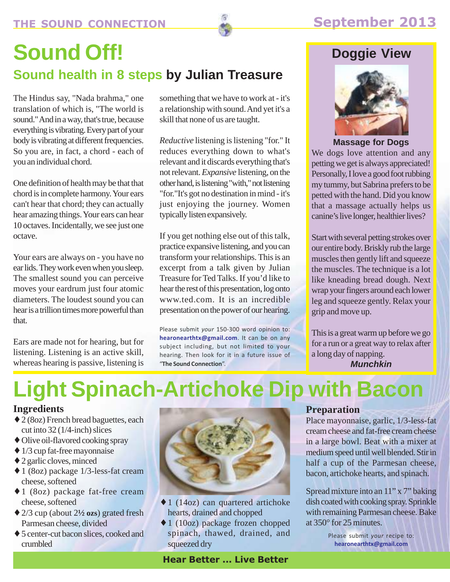## **Sound Off! Sound health in 8 steps by Julian Treasure**

The Hindus say, "Nada brahma," one translation of which is, "The world is sound." And in a way, that's true, because everything is vibrating. Every part of your body is vibrating at different frequencies. So you are, in fact, a chord - each of you an individual chord.

One definition of health may be that that chord is in complete harmony. Your ears can't hear that chord; they can actually hear amazing things. Your ears can hear 10 octaves. Incidentally, we see just one octave.

Your ears are always on - you have no ear lids. They work even when you sleep. The smallest sound you can perceive moves your eardrum just four atomic diameters. The loudest sound you can hear is a trillion times more powerful than that.

Ears are made not for hearing, but for listening. Listening is an active skill, whereas hearing is passive, listening is

something that we have to work at - it's a relationship with sound. And yet it's a skill that none of us are taught.

*Reductive* listening is listening "for." It reduces everything down to what's relevant and it discards everything that's not relevant. *Expansive* listening, on the other hand, is listening "with," not listening "for."It's got no destination in mind - it's just enjoying the journey. Women typically listen expansively.

If you get nothing else out of this talk, practice expansive listening, and you can transform your relationships. This is an excerpt from a talk given by Julian Treasure for Ted Talks. If you'd like to hear the rest of this presentation, log onto www.ted.com. It is an incredible presentation on the power of our hearing.

Please submit *your* 150-300 word opinion to: **hearonearthtx@gmail.com**. It can be on any subject including, but not limited to your hearing. Then look for it in a future issue of "**The Sound Connection**".

### **Doggie View**



**Massage for Dogs**

We dogs love attention and any petting we get is always appreciated! Personally, I love a good foot rubbing my tummy, but Sabrina prefers to be petted with the hand. Did you know that a massage actually helps us canine's live longer, healthier lives?

Start with several petting strokes over our entire body. Briskly rub the large muscles then gently lift and squeeze the muscles. The technique is a lot like kneading bread dough. Next wrap your fingers around each lower leg and squeeze gently. Relax your grip and move up.

This is a great warm up before we go for a run or a great way to relax after a long day of napping.

**Munchkin**

# **Light Spinach-Artichoke Dip with Bacon**

### **Ingredients**

- ♦ 2 (8oz) French bread baguettes, each cut into 32 (1/4-inch) slices
- ♦ Olive oil-flavored cooking spray
- $\triangleq$  1/3 cup fat-free mayonnaise
- ♦ 2 garlic cloves, minced
- ♦ 1 (8oz) package 1/3-less-fat cream cheese, softened
- ♦ 1 (8oz) package fat-free cream cheese, softened
- ♦ 2/3 cup (about 2**½ ozs**) grated fresh Parmesan cheese, divided
- ♦ 5 center-cut bacon slices, cooked and crumbled



- ♦ 1 (14oz) can quartered artichoke hearts, drained and chopped
- ♦ 1 (10oz) package frozen chopped spinach, thawed, drained, and squeezed dry

### **Preparation**

Place mayonnaise, garlic, 1/3-less-fat cream cheese and fat-free cream cheese in a large bowl. Beat with a mixer at medium speed until well blended. Stir in half a cup of the Parmesan cheese, bacon, artichoke hearts, and spinach.

Spread mixture into an 11" x 7" baking dish coated with cooking spray. Sprinkle with remaining Parmesan cheese. Bake at 350° for 25 minutes.

> Please submit *your* recipe to: **hearonearthtx@gmail.com**

**Hear Better ... Live Better**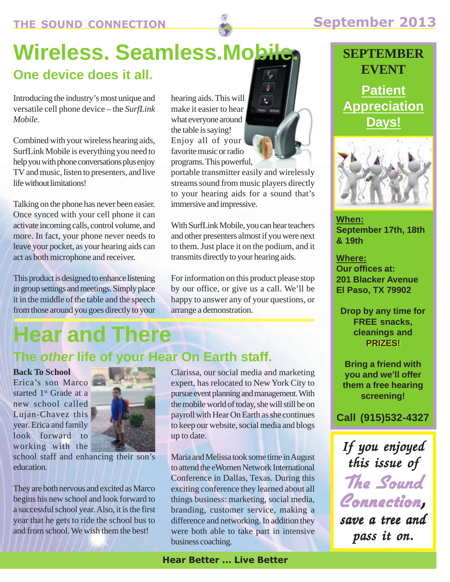

# **Wireless. Seamless.Mobile.**

## **One device does it all.**

Introducing the industry's most unique and versatile cell phone device – the *SurfLink Mobile*.

Combined with your wireless hearing aids, SurfLink Mobile is everything you need to help you with phone conversations plus enjoy TV and music, listen to presenters, and live life without limitations!

Talking on the phone has never been easier. Once synced with your cell phone it can activate incoming calls, control volume, and more. In fact, your phone never needs to leave your pocket, as your hearing aids can act as both microphone and receiver.

This product is designed to enhance listening in group settings and meetings. Simply place it in the middle of the table and the speech from those around you goes directly to your hearing aids. This will make it easier to hear what everyone around the table is saying! Enjoy all of your favorite music or radio programs. This powerful,

portable transmitter easily and wirelessly streams sound from music players directly to your hearing aids for a sound that's immersive and impressive.

With SurfLink Mobile, you can hear teachers and other presenters almost if you were next to them. Just place it on the podium, and it transmits directly to your hearing aids.

For information on this product please stop by our office, or give us a call. We'll be happy to answer any of your questions, or arrange a demonstration.

# **Hear and There**

## **The other life of your Hear On Earth staff.**

**Back To School** Erica's son Marco started 1<sup>st</sup> Grade at a new school called Lujan-Chavez this year. Erica and family look forward to working with the



school staff and enhancing their son's education.

They are both nervous and excited as Marco begins his new school and look forward to a successful school year. Also, it is the first year that he gets to ride the school bus to and from school. We wish them the best!

Clarissa, our social media and marketing expert, has relocated to New York City to pursue event planning and management. With the mobile world of today, she will still be on payroll with Hear On Earth as she continues to keep our website, social media and blogs up to date.

Maria and Melissa took some time in August to attend the eWomen Network International Conference in Dallas, Texas. During this exciting conference they learned about all things business: marketing, social media, branding, customer service, making a difference and networking. In addition they were both able to take part in intensive business coaching.

### **Hear Better ... Live Better**

## **SEPTEMBER EVENT**

**Patient Appreciation Days!**



**When: September 17th, 18th & 19th**

**Where: Our offices at: 201 Blacker Avenue El Paso, TX 79902**

**Drop by any time for FREE snacks, cleanings and PRIZES!**

**Bring a friend with you and we'll offer them a free hearing screening!**

**Call (915)532-4327**

*If you enjoyed this issue of*

The Sound

*save a tree and*

Connection*,*

*pass it on.*